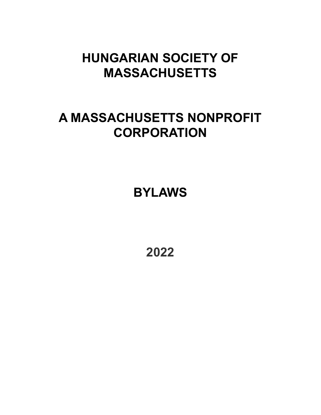# **HUNGARIAN SOCIETY OF MASSACHUSETTS**

# **A MASSACHUSETTS NONPROFIT CORPORATION**

**BYLAWS**

**2022**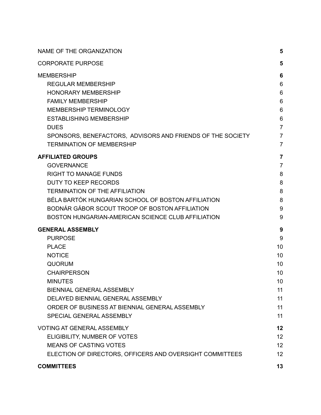| NAME OF THE ORGANIZATION                                   | 5               |
|------------------------------------------------------------|-----------------|
| <b>CORPORATE PURPOSE</b>                                   | 5               |
| <b>MEMBERSHIP</b>                                          | 6               |
| <b>REGULAR MEMBERSHIP</b>                                  | 6               |
| <b>HONORARY MEMBERSHIP</b>                                 | 6               |
| <b>FAMILY MEMBERSHIP</b>                                   | $6\phantom{1}6$ |
| <b>MEMBERSHIP TERMINOLOGY</b>                              | 6               |
| <b>ESTABLISHING MEMBERSHIP</b>                             | 6               |
| <b>DUES</b>                                                | $\overline{7}$  |
| SPONSORS, BENEFACTORS, ADVISORS AND FRIENDS OF THE SOCIETY | $\overline{7}$  |
| <b>TERMINATION OF MEMBERSHIP</b>                           | $\overline{7}$  |
| <b>AFFILIATED GROUPS</b>                                   | 7               |
| <b>GOVERNANCE</b>                                          | $\overline{7}$  |
| <b>RIGHT TO MANAGE FUNDS</b>                               | 8               |
| <b>DUTY TO KEEP RECORDS</b>                                | 8               |
| <b>TERMINATION OF THE AFFILIATION</b>                      | 8               |
| BÉLA BARTÓK HUNGARIAN SCHOOL OF BOSTON AFFILIATION         | 8               |
| BODNÁR GÁBOR SCOUT TROOP OF BOSTON AFFILIATION             | 9               |
| BOSTON HUNGARIAN-AMERICAN SCIENCE CLUB AFFILIATION         | 9               |
| <b>GENERAL ASSEMBLY</b>                                    | 9               |
| <b>PURPOSE</b>                                             | 9               |
| <b>PLACE</b>                                               | 10              |
| <b>NOTICE</b>                                              | 10              |
| <b>QUORUM</b>                                              | 10              |
| <b>CHAIRPERSON</b>                                         | 10              |
| <b>MINUTES</b>                                             | 10              |
| BIENNIAL GENERAL ASSEMBLY                                  | 11              |
| DELAYED BIENNIAL GENERAL ASSEMBLY                          | 11              |
| ORDER OF BUSINESS AT BIENNIAL GENERAL ASSEMBLY             | 11              |
| SPECIAL GENERAL ASSEMBLY                                   | 11              |
| <b>VOTING AT GENERAL ASSEMBLY</b>                          | 12              |
| ELIGIBILITY, NUMBER OF VOTES                               | 12              |
| <b>MEANS OF CASTING VOTES</b>                              | 12              |
| ELECTION OF DIRECTORS, OFFICERS AND OVERSIGHT COMMITTEES   | 12              |
| <b>COMMITTEES</b>                                          | 13              |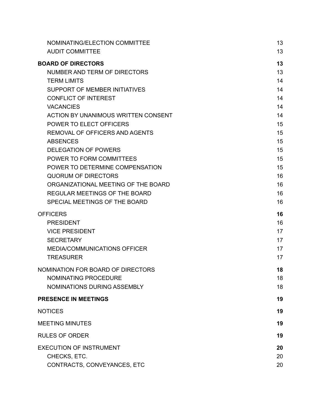| NOMINATING/ELECTION COMMITTEE              | 13 |
|--------------------------------------------|----|
| <b>AUDIT COMMITTEE</b>                     | 13 |
| <b>BOARD OF DIRECTORS</b>                  | 13 |
| NUMBER AND TERM OF DIRECTORS               | 13 |
| <b>TERM LIMITS</b>                         | 14 |
| SUPPORT OF MEMBER INITIATIVES              | 14 |
| <b>CONFLICT OF INTEREST</b>                | 14 |
| <b>VACANCIES</b>                           | 14 |
| <b>ACTION BY UNANIMOUS WRITTEN CONSENT</b> | 14 |
| POWER TO ELECT OFFICERS                    | 15 |
| REMOVAL OF OFFICERS AND AGENTS             | 15 |
| <b>ABSENCES</b>                            | 15 |
| <b>DELEGATION OF POWERS</b>                | 15 |
| POWER TO FORM COMMITTEES                   | 15 |
| POWER TO DETERMINE COMPENSATION            | 15 |
| <b>QUORUM OF DIRECTORS</b>                 | 16 |
| ORGANIZATIONAL MEETING OF THE BOARD        | 16 |
| <b>REGULAR MEETINGS OF THE BOARD</b>       | 16 |
| SPECIAL MEETINGS OF THE BOARD              | 16 |
| <b>OFFICERS</b>                            | 16 |
| <b>PRESIDENT</b>                           | 16 |
| <b>VICE PRESIDENT</b>                      | 17 |
| <b>SECRETARY</b>                           | 17 |
| MEDIA/COMMUNICATIONS OFFICER               | 17 |
| <b>TREASURER</b>                           | 17 |
| NOMINATION FOR BOARD OF DIRECTORS          | 18 |
| NOMINATING PROCEDURE                       | 18 |
| NOMINATIONS DURING ASSEMBLY                | 18 |
| <b>PRESENCE IN MEETINGS</b>                | 19 |
| <b>NOTICES</b>                             | 19 |
| <b>MEETING MINUTES</b>                     | 19 |
| <b>RULES OF ORDER</b>                      | 19 |
| <b>EXECUTION OF INSTRUMENT</b>             | 20 |
| CHECKS, ETC.                               | 20 |
| CONTRACTS, CONVEYANCES, ETC                | 20 |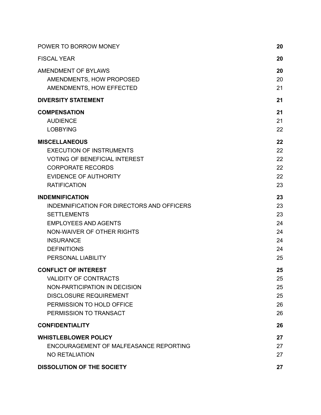| POWER TO BORROW MONEY                      | 20 |
|--------------------------------------------|----|
| <b>FISCAL YEAR</b>                         | 20 |
| AMENDMENT OF BYLAWS                        | 20 |
| AMENDMENTS, HOW PROPOSED                   | 20 |
| AMENDMENTS, HOW EFFECTED                   | 21 |
| <b>DIVERSITY STATEMENT</b>                 | 21 |
| <b>COMPENSATION</b>                        | 21 |
| <b>AUDIENCE</b>                            | 21 |
| <b>LOBBYING</b>                            | 22 |
| <b>MISCELLANEOUS</b>                       | 22 |
| <b>EXECUTION OF INSTRUMENTS</b>            | 22 |
| <b>VOTING OF BENEFICIAL INTEREST</b>       | 22 |
| <b>CORPORATE RECORDS</b>                   | 22 |
| <b>EVIDENCE OF AUTHORITY</b>               | 22 |
| <b>RATIFICATION</b>                        | 23 |
| <b>INDEMNIFICATION</b>                     | 23 |
| INDEMNIFICATION FOR DIRECTORS AND OFFICERS | 23 |
| <b>SETTLEMENTS</b>                         | 23 |
| <b>EMPLOYEES AND AGENTS</b>                | 24 |
| NON-WAIVER OF OTHER RIGHTS                 | 24 |
| <b>INSURANCE</b>                           | 24 |
| <b>DEFINITIONS</b>                         | 24 |
| PERSONAL LIABILITY                         | 25 |
| <b>CONFLICT OF INTEREST</b>                | 25 |
| <b>VALIDITY OF CONTRACTS</b>               | 25 |
| NON-PARTICIPATION IN DECISION              | 25 |
| <b>DISCLOSURE REQUIREMENT</b>              | 25 |
| PERMISSION TO HOLD OFFICE                  | 26 |
| PERMISSION TO TRANSACT                     | 26 |
| <b>CONFIDENTIALITY</b>                     | 26 |
| <b>WHISTLEBLOWER POLICY</b>                | 27 |
| ENCOURAGEMENT OF MALFEASANCE REPORTING     | 27 |
| <b>NO RETALIATION</b>                      | 27 |
| <b>DISSOLUTION OF THE SOCIETY</b>          | 27 |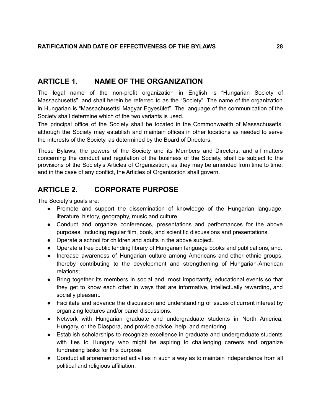# <span id="page-4-0"></span>**ARTICLE 1. NAME OF THE ORGANIZATION**

The legal name of the non-profit organization in English is "Hungarian Society of Massachusetts", and shall herein be referred to as the "Society". The name of the organization in Hungarian is "Massachusettsi Magyar Egyesület". The language of the communication of the Society shall determine which of the two variants is used.

The principal office of the Society shall be located in the Commonwealth of Massachusetts, although the Society may establish and maintain offices in other locations as needed to serve the interests of the Society, as determined by the Board of Directors.

These Bylaws, the powers of the Society and its Members and Directors, and all matters concerning the conduct and regulation of the business of the Society, shall be subject to the provisions of the Society's Articles of Organization, as they may be amended from time to time, and in the case of any conflict, the Articles of Organization shall govern.

# <span id="page-4-1"></span>**ARTICLE 2. CORPORATE PURPOSE**

The Society's goals are:

- Promote and support the dissemination of knowledge of the Hungarian language, literature, history, geography, music and culture.
- Conduct and organize conferences, presentations and performances for the above purposes, including regular film, book, and scientific discussions and presentations.
- Operate a school for children and adults in the above subject.
- Operate a free public lending library of Hungarian language books and publications, and.
- Increase awareness of Hungarian culture among Americans and other ethnic groups, thereby contributing to the development and strengthening of Hungarian-American relations;
- Bring together its members in social and, most importantly, educational events so that they get to know each other in ways that are informative, intellectually rewarding, and socially pleasant.
- Facilitate and advance the discussion and understanding of issues of current interest by organizing lectures and/or panel discussions.
- Network with Hungarian graduate and undergraduate students in North America, Hungary, or the Diaspora, and provide advice, help, and mentoring.
- Establish scholarships to recognize excellence in graduate and undergraduate students with ties to Hungary who might be aspiring to challenging careers and organize fundraising tasks for this purpose.
- Conduct all aforementioned activities in such a way as to maintain independence from all political and religious affiliation.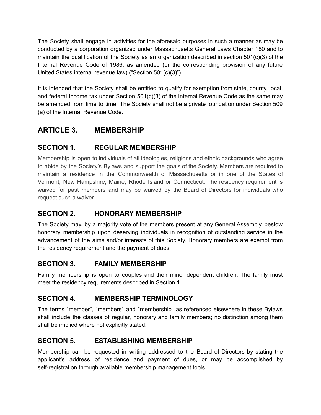The Society shall engage in activities for the aforesaid purposes in such a manner as may be conducted by a corporation organized under Massachusetts General Laws Chapter 180 and to maintain the qualification of the Society as an organization described in section 501(c)(3) of the Internal Revenue Code of 1986, as amended (or the corresponding provision of any future United States internal revenue law) ("Section 501(c)(3)")

It is intended that the Society shall be entitled to qualify for exemption from state, county, local, and federal income tax under Section  $501(c)(3)$  of the Internal Revenue Code as the same may be amended from time to time. The Society shall not be a private foundation under Section 509 (a) of the Internal Revenue Code.

# <span id="page-5-0"></span>**ARTICLE 3. MEMBERSHIP**

# <span id="page-5-1"></span>**SECTION 1. REGULAR MEMBERSHIP**

Membership is open to individuals of all ideologies, religions and ethnic backgrounds who agree to abide by the Society's Bylaws and support the goals of the Society. Members are required to maintain a residence in the Commonwealth of Massachusetts or in one of the States of Vermont, New Hampshire, Maine, Rhode Island or Connecticut. The residency requirement is waived for past members and may be waived by the Board of Directors for individuals who request such a waiver.

## <span id="page-5-2"></span>**SECTION 2. HONORARY MEMBERSHIP**

The Society may, by a majority vote of the members present at any General Assembly, bestow honorary membership upon deserving individuals in recognition of outstanding service in the advancement of the aims and/or interests of this Society. Honorary members are exempt from the residency requirement and the payment of dues.

## <span id="page-5-3"></span>**SECTION 3. FAMILY MEMBERSHIP**

Family membership is open to couples and their minor dependent children. The family must meet the residency requirements described in Section 1.

# <span id="page-5-4"></span>**SECTION 4. MEMBERSHIP TERMINOLOGY**

The terms "member", "members" and "membership" as referenced elsewhere in these Bylaws shall include the classes of regular, honorary and family members; no distinction among them shall be implied where not explicitly stated.

## <span id="page-5-5"></span>**SECTION 5. ESTABLISHING MEMBERSHIP**

Membership can be requested in writing addressed to the Board of Directors by stating the applicant's address of residence and payment of dues, or may be accomplished by self-registration through available membership management tools.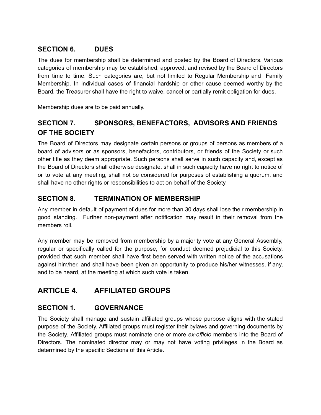#### <span id="page-6-0"></span>**SECTION 6. DUES**

The dues for membership shall be determined and posted by the Board of Directors. Various categories of membership may be established, approved, and revised by the Board of Directors from time to time. Such categories are, but not limited to Regular Membership and Family Membership. In individual cases of financial hardship or other cause deemed worthy by the Board, the Treasurer shall have the right to waive, cancel or partially remit obligation for dues.

Membership dues are to be paid annually.

# <span id="page-6-1"></span>**SECTION 7. SPONSORS, BENEFACTORS, ADVISORS AND FRIENDS OF THE SOCIETY**

The Board of Directors may designate certain persons or groups of persons as members of a board of advisors or as sponsors, benefactors, contributors, or friends of the Society or such other title as they deem appropriate. Such persons shall serve in such capacity and, except as the Board of Directors shall otherwise designate, shall in such capacity have no right to notice of or to vote at any meeting, shall not be considered for purposes of establishing a quorum, and shall have no other rights or responsibilities to act on behalf of the Society.

## <span id="page-6-2"></span>**SECTION 8. TERMINATION OF MEMBERSHIP**

Any member in default of payment of dues for more than 30 days shall lose their membership in good standing. Further non-payment after notification may result in their removal from the members roll.

Any member may be removed from membership by a majority vote at any General Assembly, regular or specifically called for the purpose, for conduct deemed prejudicial to this Society, provided that such member shall have first been served with written notice of the accusations against him/her, and shall have been given an opportunity to produce his/her witnesses, if any, and to be heard, at the meeting at which such vote is taken.

# <span id="page-6-3"></span>**ARTICLE 4. AFFILIATED GROUPS**

## <span id="page-6-4"></span>**SECTION 1. GOVERNANCE**

The Society shall manage and sustain affiliated groups whose purpose aligns with the stated purpose of the Society. Affiliated groups must register their bylaws and governing documents by the Society. Affiliated groups must nominate one or more *ex-officio* members into the Board of Directors. The nominated director may or may not have voting privileges in the Board as determined by the specific Sections of this Article.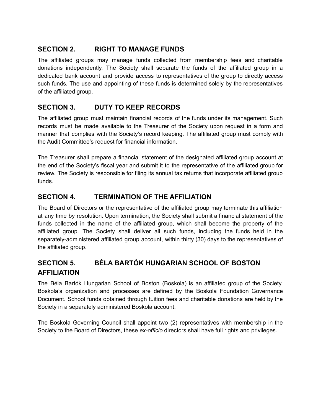## <span id="page-7-0"></span>**SECTION 2. RIGHT TO MANAGE FUNDS**

The affiliated groups may manage funds collected from membership fees and charitable donations independently. The Society shall separate the funds of the affiliated group in a dedicated bank account and provide access to representatives of the group to directly access such funds. The use and appointing of these funds is determined solely by the representatives of the affiliated group.

## <span id="page-7-1"></span>**SECTION 3. DUTY TO KEEP RECORDS**

The affiliated group must maintain financial records of the funds under its management. Such records must be made available to the Treasurer of the Society upon request in a form and manner that complies with the Society's record keeping. The affiliated group must comply with the Audit Committee's request for financial information.

The Treasurer shall prepare a financial statement of the designated affiliated group account at the end of the Society's fiscal year and submit it to the representative of the affiliated group for review. The Society is responsible for filing its annual tax returns that incorporate affiliated group funds.

## <span id="page-7-2"></span>**SECTION 4. TERMINATION OF THE AFFILIATION**

The Board of Directors or the representative of the affiliated group may terminate this affiliation at any time by resolution. Upon termination, the Society shall submit a financial statement of the funds collected in the name of the affiliated group, which shall become the property of the affiliated group. The Society shall deliver all such funds, including the funds held in the separately-administered affiliated group account, within thirty (30) days to the representatives of the affiliated group.

# <span id="page-7-3"></span>**SECTION 5. BÉLA BARTÓK HUNGARIAN SCHOOL OF BOSTON AFFILIATION**

The Béla Bartók Hungarian School of Boston (Boskola) is an affiliated group of the Society. Boskola's organization and processes are defined by the Boskola Foundation Governance Document. School funds obtained through tuition fees and charitable donations are held by the Society in a separately administered Boskola account.

The Boskola Governing Council shall appoint two (2) representatives with membership in the Society to the Board of Directors, these *ex-officio* directors shall have full rights and privileges.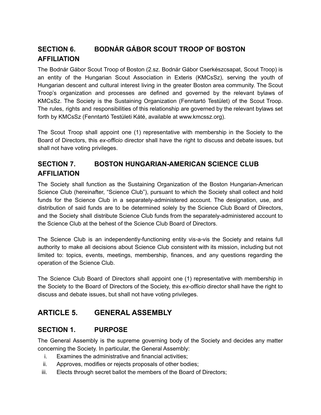# <span id="page-8-0"></span>**SECTION 6. BODNÁR GÁBOR SCOUT TROOP OF BOSTON AFFILIATION**

The Bodnár Gábor Scout Troop of Boston (2.sz. Bodnár Gábor Cserkészcsapat, Scout Troop) is an entity of the Hungarian Scout Association in Exteris (KMCsSz), serving the youth of Hungarian descent and cultural interest living in the greater Boston area community. The Scout Troop's organization and processes are defined and governed by the relevant bylaws of KMCsSz. The Society is the Sustaining Organization (Fenntartó Testület) of the Scout Troop. The rules, rights and responsibilities of this relationship are governed by the relevant bylaws set forth by KMCsSz (Fenntartó Testületi Káté, available at www.kmcssz.org).

The Scout Troop shall appoint one (1) representative with membership in the Society to the Board of Directors, this *ex-officio* director shall have the right to discuss and debate issues, but shall not have voting privileges.

# <span id="page-8-1"></span>**SECTION 7. BOSTON HUNGARIAN-AMERICAN SCIENCE CLUB AFFILIATION**

The Society shall function as the Sustaining Organization of the Boston Hungarian-American Science Club (hereinafter, "Science Club"), pursuant to which the Society shall collect and hold funds for the Science Club in a separately-administered account. The designation, use, and distribution of said funds are to be determined solely by the Science Club Board of Directors, and the Society shall distribute Science Club funds from the separately-administered account to the Science Club at the behest of the Science Club Board of Directors.

The Science Club is an independently-functioning entity vis-a-vis the Society and retains full authority to make all decisions about Science Club consistent with its mission, including but not limited to: topics, events, meetings, membership, finances, and any questions regarding the operation of the Science Club.

The Science Club Board of Directors shall appoint one (1) representative with membership in the Society to the Board of Directors of the Society, this *ex-officio* director shall have the right to discuss and debate issues, but shall not have voting privileges.

# <span id="page-8-2"></span>**ARTICLE 5. GENERAL ASSEMBLY**

## <span id="page-8-3"></span>**SECTION 1. PURPOSE**

The General Assembly is the supreme governing body of the Society and decides any matter concerning the Society. In particular, the General Assembly:

- i. Examines the administrative and financial activities;
- ii. Approves, modifies or rejects proposals of other bodies;
- iii. Elects through secret ballot the members of the Board of Directors;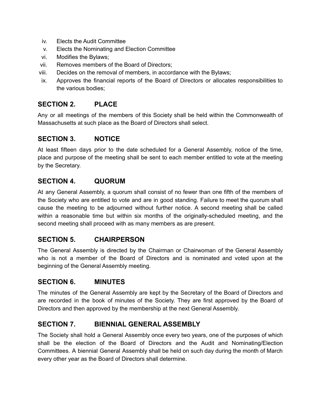- iv. Elects the Audit Committee
- v. Elects the Nominating and Election Committee
- vi. Modifies the Bylaws;
- vii. Removes members of the Board of Directors;
- viii. Decides on the removal of members, in accordance with the Bylaws;
- ix. Approves the financial reports of the Board of Directors or allocates responsibilities to the various bodies;

## <span id="page-9-0"></span>**SECTION 2. PLACE**

Any or all meetings of the members of this Society shall be held within the Commonwealth of Massachusetts at such place as the Board of Directors shall select.

#### <span id="page-9-1"></span>**SECTION 3. NOTICE**

At least fifteen days prior to the date scheduled for a General Assembly, notice of the time, place and purpose of the meeting shall be sent to each member entitled to vote at the meeting by the Secretary.

## <span id="page-9-2"></span>**SECTION 4. QUORUM**

At any General Assembly, a quorum shall consist of no fewer than one fifth of the members of the Society who are entitled to vote and are in good standing. Failure to meet the quorum shall cause the meeting to be adjourned without further notice. A second meeting shall be called within a reasonable time but within six months of the originally-scheduled meeting, and the second meeting shall proceed with as many members as are present.

## <span id="page-9-3"></span>**SECTION 5. CHAIRPERSON**

The General Assembly is directed by the Chairman or Chairwoman of the General Assembly who is not a member of the Board of Directors and is nominated and voted upon at the beginning of the General Assembly meeting.

#### <span id="page-9-4"></span>**SECTION 6. MINUTES**

The minutes of the General Assembly are kept by the Secretary of the Board of Directors and are recorded in the book of minutes of the Society. They are first approved by the Board of Directors and then approved by the membership at the next General Assembly.

#### <span id="page-9-5"></span>**SECTION 7. BIENNIAL GENERAL ASSEMBLY**

The Society shall hold a General Assembly once every two years, one of the purposes of which shall be the election of the Board of Directors and the Audit and Nominating/Election Committees. A biennial General Assembly shall be held on such day during the month of March every other year as the Board of Directors shall determine.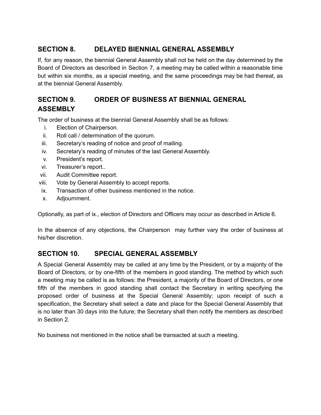## <span id="page-10-0"></span>**SECTION 8. DELAYED BIENNIAL GENERAL ASSEMBLY**

If, for any reason, the biennial General Assembly shall not be held on the day determined by the Board of Directors as described in Section 7, a meeting may be called within a reasonable time but within six months, as a special meeting, and the same proceedings may be had thereat, as at the biennial General Assembly.

# <span id="page-10-1"></span>**SECTION 9. ORDER OF BUSINESS AT BIENNIAL GENERAL ASSEMBLY**

The order of business at the biennial General Assembly shall be as follows:

- i. Election of Chairperson.
- ii. Roll call / determination of the quorum.
- iii. Secretary's reading of notice and proof of mailing.
- iv. Secretary's reading of minutes of the last General Assembly.
- v. President's report.
- vi. Treasurer's report..
- vii. Audit Committee report.
- viii. Vote by General Assembly to accept reports.
- ix. Transaction of other business mentioned in the notice.
- x. Adjournment.

Optionally, as part of ix., election of Directors and Officers may occur as described in Article 6.

In the absence of any objections, the Chairperson may further vary the order of business at his/her discretion.

## <span id="page-10-2"></span>**SECTION 10. SPECIAL GENERAL ASSEMBLY**

A Special General Assembly may be called at any time by the President, or by a majority of the Board of Directors, or by one-fifth of the members in good standing. The method by which such a meeting may be called is as follows: the President, a majority of the Board of Directors, or one fifth of the members in good standing shall contact the Secretary in writing specifying the proposed order of business at the Special General Assembly; upon receipt of such a specification, the Secretary shall select a date and place for the Special General Assembly that is no later than 30 days into the future; the Secretary shall then notify the members as described in Section 2.

No business not mentioned in the notice shall be transacted at such a meeting.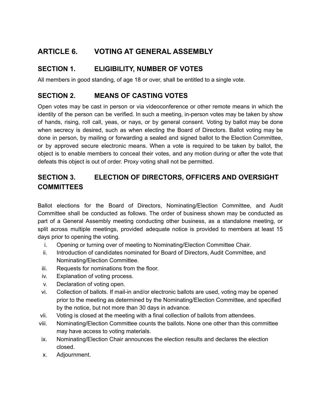# <span id="page-11-0"></span>**ARTICLE 6. VOTING AT GENERAL ASSEMBLY**

# <span id="page-11-1"></span>**SECTION 1. ELIGIBILITY, NUMBER OF VOTES**

All members in good standing, of age 18 or over, shall be entitled to a single vote.

#### <span id="page-11-2"></span>**SECTION 2. MEANS OF CASTING VOTES**

Open votes may be cast in person or via videoconference or other remote means in which the identity of the person can be verified. In such a meeting, in-person votes may be taken by show of hands, rising, roll call, yeas, or nays, or by general consent. Voting by ballot may be done when secrecy is desired, such as when electing the Board of Directors. Ballot voting may be done in person, by mailing or forwarding a sealed and signed ballot to the Election Committee, or by approved secure electronic means. When a vote is required to be taken by ballot, the object is to enable members to conceal their votes, and any motion during or after the vote that defeats this object is out of order. Proxy voting shall not be permitted.

# <span id="page-11-3"></span>**SECTION 3. ELECTION OF DIRECTORS, OFFICERS AND OVERSIGHT COMMITTEES**

Ballot elections for the Board of Directors, Nominating/Election Committee, and Audit Committee shall be conducted as follows. The order of business shown may be conducted as part of a General Assembly meeting conducting other business, as a standalone meeting, or split across multiple meetings, provided adequate notice is provided to members at least 15 days prior to opening the voting.

- i. Opening or turning over of meeting to Nominating/Election Committee Chair.
- ii. Introduction of candidates nominated for Board of Directors, Audit Committee, and Nominating/Election Committee.
- iii. Requests for nominations from the floor.
- iv. Explanation of voting process.
- v. Declaration of voting open.
- vi. Collection of ballots. If mail-in and/or electronic ballots are used, voting may be opened prior to the meeting as determined by the Nominating/Election Committee, and specified by the notice, but not more than 30 days in advance.
- vii. Voting is closed at the meeting with a final collection of ballots from attendees.
- viii. Nominating/Election Committee counts the ballots. None one other than this committee may have access to voting materials.
- ix. Nominating/Election Chair announces the election results and declares the election closed.
- x. Adjournment.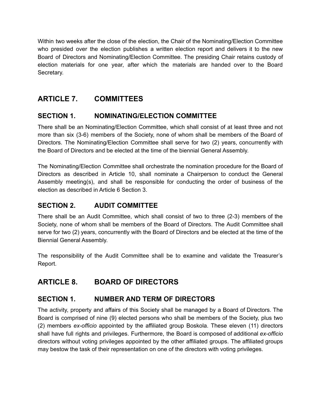Within two weeks after the close of the election, the Chair of the Nominating/Election Committee who presided over the election publishes a written election report and delivers it to the new Board of Directors and Nominating/Election Committee. The presiding Chair retains custody of election materials for one year, after which the materials are handed over to the Board Secretary.

# <span id="page-12-0"></span>**ARTICLE 7. COMMITTEES**

## <span id="page-12-1"></span>**SECTION 1. NOMINATING/ELECTION COMMITTEE**

There shall be an Nominating/Election Committee, which shall consist of at least three and not more than six (3-6) members of the Society, none of whom shall be members of the Board of Directors. The Nominating/Election Committee shall serve for two (2) years, concurrently with the Board of Directors and be elected at the time of the biennial General Assembly.

The Nominating/Election Committee shall orchestrate the nomination procedure for the Board of Directors as described in Article 10, shall nominate a Chairperson to conduct the General Assembly meeting(s), and shall be responsible for conducting the order of business of the election as described in Article 6 Section 3.

## <span id="page-12-2"></span>**SECTION 2. AUDIT COMMITTEE**

There shall be an Audit Committee, which shall consist of two to three (2-3) members of the Society, none of whom shall be members of the Board of Directors. The Audit Committee shall serve for two (2) years, concurrently with the Board of Directors and be elected at the time of the Biennial General Assembly.

The responsibility of the Audit Committee shall be to examine and validate the Treasurer's Report.

# <span id="page-12-3"></span>**ARTICLE 8. BOARD OF DIRECTORS**

## <span id="page-12-4"></span>**SECTION 1. NUMBER AND TERM OF DIRECTORS**

The activity, property and affairs of this Society shall be managed by a Board of Directors. The Board is comprised of nine (9) elected persons who shall be members of the Society, plus two (2) members *ex-officio* appointed by the affiliated group Boskola. These eleven (11) directors shall have full rights and privileges. Furthermore, the Board is composed of additional *ex-officio* directors without voting privileges appointed by the other affiliated groups. The affiliated groups may bestow the task of their representation on one of the directors with voting privileges.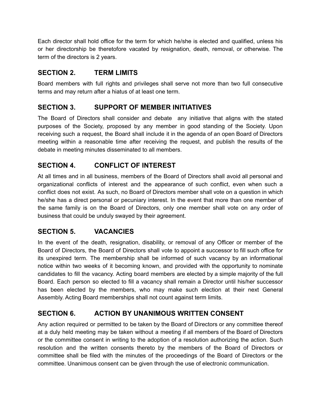Each director shall hold office for the term for which he/she is elected and qualified, unless his or her directorship be theretofore vacated by resignation, death, removal, or otherwise. The term of the directors is 2 years.

#### <span id="page-13-0"></span>**SECTION 2. TERM LIMITS**

Board members with full rights and privileges shall serve not more than two full consecutive terms and may return after a hiatus of at least one term.

## <span id="page-13-1"></span>**SECTION 3. SUPPORT OF MEMBER INITIATIVES**

The Board of Directors shall consider and debate any initiative that aligns with the stated purposes of the Society, proposed by any member in good standing of the Society. Upon receiving such a request, the Board shall include it in the agenda of an open Board of Directors meeting within a reasonable time after receiving the request, and publish the results of the debate in meeting minutes disseminated to all members.

# <span id="page-13-2"></span>**SECTION 4. CONFLICT OF INTEREST**

At all times and in all business, members of the Board of Directors shall avoid all personal and organizational conflicts of interest and the appearance of such conflict, even when such a conflict does not exist. As such, no Board of Directors member shall vote on a question in which he/she has a direct personal or pecuniary interest. In the event that more than one member of the same family is on the Board of Directors, only one member shall vote on any order of business that could be unduly swayed by their agreement.

## <span id="page-13-3"></span>**SECTION 5. VACANCIES**

In the event of the death, resignation, disability, or removal of any Officer or member of the Board of Directors, the Board of Directors shall vote to appoint a successor to fill such office for its unexpired term. The membership shall be informed of such vacancy by an informational notice within two weeks of it becoming known, and provided with the opportunity to nominate candidates to fill the vacancy. Acting board members are elected by a simple majority of the full Board. Each person so elected to fill a vacancy shall remain a Director until his/her successor has been elected by the members, who may make such election at their next General Assembly. Acting Board memberships shall not count against term limits.

# <span id="page-13-4"></span>**SECTION 6. ACTION BY UNANIMOUS WRITTEN CONSENT**

Any action required or permitted to be taken by the Board of Directors or any committee thereof at a duly held meeting may be taken without a meeting if all members of the Board of Directors or the committee consent in writing to the adoption of a resolution authorizing the action. Such resolution and the written consents thereto by the members of the Board of Directors or committee shall be filed with the minutes of the proceedings of the Board of Directors or the committee. Unanimous consent can be given through the use of electronic communication.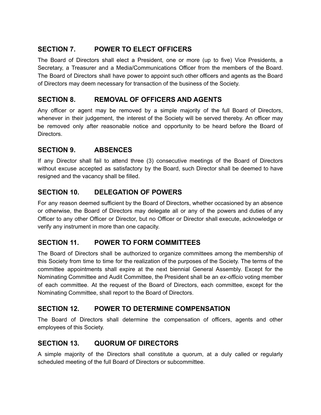## <span id="page-14-0"></span>**SECTION 7. POWER TO ELECT OFFICERS**

The Board of Directors shall elect a President, one or more (up to five) Vice Presidents, a Secretary, a Treasurer and a Media/Communications Officer from the members of the Board. The Board of Directors shall have power to appoint such other officers and agents as the Board of Directors may deem necessary for transaction of the business of the Society.

## <span id="page-14-1"></span>**SECTION 8. REMOVAL OF OFFICERS AND AGENTS**

Any officer or agent may be removed by a simple majority of the full Board of Directors, whenever in their judgement, the interest of the Society will be served thereby. An officer may be removed only after reasonable notice and opportunity to be heard before the Board of Directors.

## <span id="page-14-2"></span>**SECTION 9. ABSENCES**

If any Director shall fail to attend three (3) consecutive meetings of the Board of Directors without excuse accepted as satisfactory by the Board, such Director shall be deemed to have resigned and the vacancy shall be filled.

#### <span id="page-14-3"></span>**SECTION 10. DELEGATION OF POWERS**

For any reason deemed sufficient by the Board of Directors, whether occasioned by an absence or otherwise, the Board of Directors may delegate all or any of the powers and duties of any Officer to any other Officer or Director, but no Officer or Director shall execute, acknowledge or verify any instrument in more than one capacity.

## <span id="page-14-4"></span>**SECTION 11. POWER TO FORM COMMITTEES**

The Board of Directors shall be authorized to organize committees among the membership of this Society from time to time for the realization of the purposes of the Society. The terms of the committee appointments shall expire at the next biennial General Assembly. Except for the Nominating Committee and Audit Committee, the President shall be an *ex-officio* voting member of each committee. At the request of the Board of Directors, each committee, except for the Nominating Committee, shall report to the Board of Directors.

#### <span id="page-14-5"></span>**SECTION 12. POWER TO DETERMINE COMPENSATION**

The Board of Directors shall determine the compensation of officers, agents and other employees of this Society.

#### <span id="page-14-6"></span>**SECTION 13. QUORUM OF DIRECTORS**

A simple majority of the Directors shall constitute a quorum, at a duly called or regularly scheduled meeting of the full Board of Directors or subcommittee.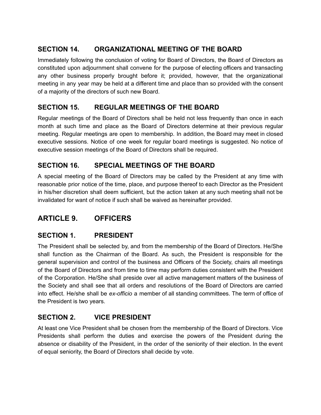# <span id="page-15-0"></span>**SECTION 14. ORGANIZATIONAL MEETING OF THE BOARD**

Immediately following the conclusion of voting for Board of Directors, the Board of Directors as constituted upon adjournment shall convene for the purpose of electing officers and transacting any other business properly brought before it; provided, however, that the organizational meeting in any year may be held at a different time and place than so provided with the consent of a majority of the directors of such new Board.

# <span id="page-15-1"></span>**SECTION 15. REGULAR MEETINGS OF THE BOARD**

Regular meetings of the Board of Directors shall be held not less frequently than once in each month at such time and place as the Board of Directors determine at their previous regular meeting. Regular meetings are open to membership. In addition, the Board may meet in closed executive sessions. Notice of one week for regular board meetings is suggested. No notice of executive session meetings of the Board of Directors shall be required.

# <span id="page-15-2"></span>**SECTION 16. SPECIAL MEETINGS OF THE BOARD**

A special meeting of the Board of Directors may be called by the President at any time with reasonable prior notice of the time, place, and purpose thereof to each Director as the President in his/her discretion shall deem sufficient, but the action taken at any such meeting shall not be invalidated for want of notice if such shall be waived as hereinafter provided.

# <span id="page-15-3"></span>**ARTICLE 9. OFFICERS**

# <span id="page-15-4"></span>**SECTION 1. PRESIDENT**

The President shall be selected by, and from the membership of the Board of Directors. He/She shall function as the Chairman of the Board. As such, the President is responsible for the general supervision and control of the business and Officers of the Society, chairs all meetings of the Board of Directors and from time to time may perform duties consistent with the President of the Corporation. He/She shall preside over all active management matters of the business of the Society and shall see that all orders and resolutions of the Board of Directors are carried into effect. He/she shall be *ex-officio* a member of all standing committees. The term of office of the President is two years.

# <span id="page-15-5"></span>**SECTION 2. VICE PRESIDENT**

At least one Vice President shall be chosen from the membership of the Board of Directors. Vice Presidents shall perform the duties and exercise the powers of the President during the absence or disability of the President, in the order of the seniority of their election. In the event of equal seniority, the Board of Directors shall decide by vote.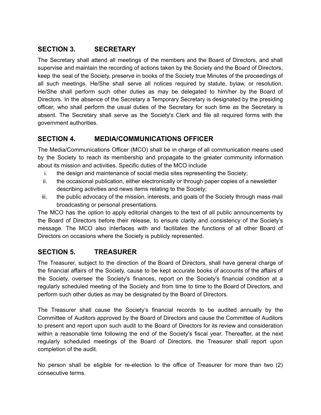## <span id="page-16-0"></span>**SECTION 3. SECRETARY**

The Secretary shall attend all meetings of the members and the Board of Directors, and shall supervise and maintain the recording of actions taken by the Society and the Board of Directors, keep the seal of the Society, preserve in books of the Society true Minutes of the proceedings of all such meetings. He/She shall serve all notices required by statute, bylaw, or resolution. He/She shall perform such other duties as may be delegated to him/her by the Board of Directors. In the absence of the Secretary a Temporary Secretary is designated by the presiding officer, who shall perform the usual duties of the Secretary for such time as the Secretary is absent. The Secretary shall serve as the Society's Clerk and file all required forms with the government authorities.

## <span id="page-16-1"></span>**SECTION 4. MEDIA/COMMUNICATIONS OFFICER**

The Media/Communications Officer (MCO) shall be in charge of all communication means used by the Society to reach its membership and propagate to the greater community information about its mission and activities. Specific duties of the MCO include

- i. the design and maintenance of social media sites representing the Society;
- ii. the occasional publication, either electronically or through paper copies of a newsletter describing activities and news items relating to the Society;
- iii. the public advocacy of the mission, interests, and goals of the Society through mass mail broadcasting or personal presentations.

The MCO has the option to apply editorial changes to the text of all public announcements by the Board of Directors before their release, to ensure clarity and consistency of the Society's message. The MCO also interfaces with and facilitates the functions of all other Board of Directors on occasions where the Society is publicly represented.

# <span id="page-16-2"></span>**SECTION 5. TREASURER**

The Treasurer, subject to the direction of the Board of Directors, shall have general charge of the financial affairs of the Society, cause to be kept accurate books of accounts of the affairs of the Society, oversee the Society's finances, report on the Society's financial condition at a regularly scheduled meeting of the Society and from time to time to the Board of Directors, and perform such other duties as may be designated by the Board of Directors.

The Treasurer shall cause the Society's financial records to be audited annually by the Committee of Auditors approved by the Board of Directors and cause the Committee of Auditors to present and report upon such audit to the Board of Directors for its review and consideration within a reasonable time following the end of the Society's fiscal year. Thereafter, at the next regularly scheduled meetings of the Board of Directors, the Treasurer shall report upon completion of the audit.

No person shall be eligible for re-election to the office of Treasurer for more than two (2) consecutive terms.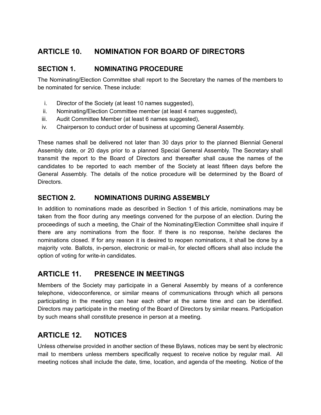# <span id="page-17-0"></span>**ARTICLE 10. NOMINATION FOR BOARD OF DIRECTORS**

# <span id="page-17-1"></span>**SECTION 1. NOMINATING PROCEDURE**

The Nominating/Election Committee shall report to the Secretary the names of the members to be nominated for service. These include:

- i. Director of the Society (at least 10 names suggested),
- ii. Nominating/Election Committee member (at least 4 names suggested),
- iii. Audit Committee Member (at least 6 names suggested),
- iv. Chairperson to conduct order of business at upcoming General Assembly.

These names shall be delivered not later than 30 days prior to the planned Biennial General Assembly date, or 20 days prior to a planned Special General Assembly. The Secretary shall transmit the report to the Board of Directors and thereafter shall cause the names of the candidates to be reported to each member of the Society at least fifteen days before the General Assembly. The details of the notice procedure will be determined by the Board of Directors.

## <span id="page-17-2"></span>**SECTION 2. NOMINATIONS DURING ASSEMBLY**

In addition to nominations made as described in Section 1 of this article, nominations may be taken from the floor during any meetings convened for the purpose of an election. During the proceedings of such a meeting, the Chair of the Nominating/Election Committee shall inquire if there are any nominations from the floor. If there is no response, he/she declares the nominations closed. If for any reason it is desired to reopen nominations, it shall be done by a majority vote. Ballots, in-person, electronic or mail-in, for elected officers shall also include the option of voting for write-in candidates.

# <span id="page-17-3"></span>**ARTICLE 11. PRESENCE IN MEETINGS**

Members of the Society may participate in a General Assembly by means of a conference telephone, videoconference, or similar means of communications through which all persons participating in the meeting can hear each other at the same time and can be identified. Directors may participate in the meeting of the Board of Directors by similar means. Participation by such means shall constitute presence in person at a meeting.

# <span id="page-17-4"></span>**ARTICLE 12. NOTICES**

Unless otherwise provided in another section of these Bylaws, notices may be sent by electronic mail to members unless members specifically request to receive notice by regular mail. All meeting notices shall include the date, time, location, and agenda of the meeting. Notice of the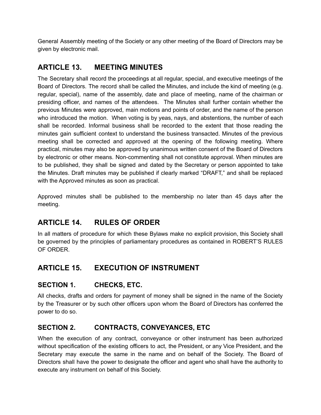General Assembly meeting of the Society or any other meeting of the Board of Directors may be given by electronic mail.

# <span id="page-18-0"></span>**ARTICLE 13. MEETING MINUTES**

The Secretary shall record the proceedings at all regular, special, and executive meetings of the Board of Directors. The record shall be called the Minutes, and include the kind of meeting (e.g. regular, special), name of the assembly, date and place of meeting, name of the chairman or presiding officer, and names of the attendees. The Minutes shall further contain whether the previous Minutes were approved, main motions and points of order, and the name of the person who introduced the motion. When voting is by yeas, nays, and abstentions, the number of each shall be recorded. Informal business shall be recorded to the extent that those reading the minutes gain sufficient context to understand the business transacted. Minutes of the previous meeting shall be corrected and approved at the opening of the following meeting. Where practical, minutes may also be approved by unanimous written consent of the Board of Directors by electronic or other means. Non-commenting shall not constitute approval. When minutes are to be published, they shall be signed and dated by the Secretary or person appointed to take the Minutes. Draft minutes may be published if clearly marked "DRAFT," and shall be replaced with the Approved minutes as soon as practical.

Approved minutes shall be published to the membership no later than 45 days after the meeting.

# <span id="page-18-1"></span>**ARTICLE 14. RULES OF ORDER**

In all matters of procedure for which these Bylaws make no explicit provision, this Society shall be governed by the principles of parliamentary procedures as contained in ROBERT'S RULES OF ORDER.

# <span id="page-18-2"></span>**ARTICLE 15. EXECUTION OF INSTRUMENT**

## <span id="page-18-3"></span>**SECTION 1. CHECKS, ETC.**

All checks, drafts and orders for payment of money shall be signed in the name of the Society by the Treasurer or by such other officers upon whom the Board of Directors has conferred the power to do so.

## <span id="page-18-4"></span>**SECTION 2. CONTRACTS, CONVEYANCES, ETC**

When the execution of any contract, conveyance or other instrument has been authorized without specification of the existing officers to act, the President, or any Vice President, and the Secretary may execute the same in the name and on behalf of the Society. The Board of Directors shall have the power to designate the officer and agent who shall have the authority to execute any instrument on behalf of this Society.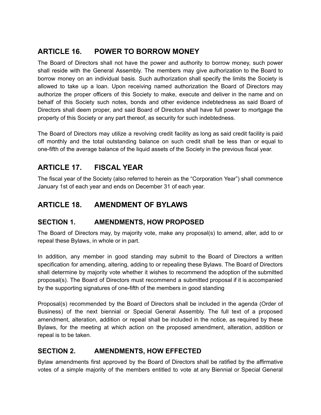# <span id="page-19-0"></span>**ARTICLE 16. POWER TO BORROW MONEY**

The Board of Directors shall not have the power and authority to borrow money, such power shall reside with the General Assembly. The members may give authorization to the Board to borrow money on an individual basis. Such authorization shall specify the limits the Society is allowed to take up a loan. Upon receiving named authorization the Board of Directors may authorize the proper officers of this Society to make, execute and deliver in the name and on behalf of this Society such notes, bonds and other evidence indebtedness as said Board of Directors shall deem proper, and said Board of Directors shall have full power to mortgage the property of this Society or any part thereof, as security for such indebtedness.

The Board of Directors may utilize a revolving credit facility as long as said credit facility is paid off monthly and the total outstanding balance on such credit shall be less than or equal to one-fifth of the average balance of the liquid assets of the Society in the previous fiscal year.

# <span id="page-19-1"></span>**ARTICLE 17. FISCAL YEAR**

The fiscal year of the Society (also referred to herein as the "Corporation Year") shall commence January 1st of each year and ends on December 31 of each year.

# <span id="page-19-2"></span>**ARTICLE 18. AMENDMENT OF BYLAWS**

## <span id="page-19-3"></span>**SECTION 1. AMENDMENTS, HOW PROPOSED**

The Board of Directors may, by majority vote, make any proposal(s) to amend, alter, add to or repeal these Bylaws, in whole or in part.

In addition, any member in good standing may submit to the Board of Directors a written specification for amending, altering, adding to or repealing these Bylaws. The Board of Directors shall determine by majority vote whether it wishes to recommend the adoption of the submitted proposal(s). The Board of Directors must recommend a submitted proposal if it is accompanied by the supporting signatures of one-fifth of the members in good standing

Proposal(s) recommended by the Board of Directors shall be included in the agenda (Order of Business) of the next biennial or Special General Assembly. The full text of a proposed amendment, alteration, addition or repeal shall be included in the notice, as required by these Bylaws, for the meeting at which action on the proposed amendment, alteration, addition or repeal is to be taken.

# <span id="page-19-4"></span>**SECTION 2. AMENDMENTS, HOW EFFECTED**

Bylaw amendments first approved by the Board of Directors shall be ratified by the affirmative votes of a simple majority of the members entitled to vote at any Biennial or Special General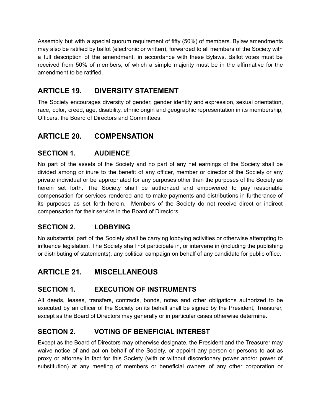Assembly but with a special quorum requirement of fifty (50%) of members. Bylaw amendments may also be ratified by ballot (electronic or written), forwarded to all members of the Society with a full description of the amendment, in accordance with these Bylaws. Ballot votes must be received from 50% of members, of which a simple majority must be in the affirmative for the amendment to be ratified.

# <span id="page-20-0"></span>**ARTICLE 19. DIVERSITY STATEMENT**

The Society encourages diversity of gender, gender identity and expression, sexual orientation, race, color, creed, age, disability, ethnic origin and geographic representation in its membership, Officers, the Board of Directors and Committees.

# <span id="page-20-1"></span>**ARTICLE 20. COMPENSATION**

## <span id="page-20-2"></span>**SECTION 1. AUDIENCE**

No part of the assets of the Society and no part of any net earnings of the Society shall be divided among or inure to the benefit of any officer, member or director of the Society or any private individual or be appropriated for any purposes other than the purposes of the Society as herein set forth. The Society shall be authorized and empowered to pay reasonable compensation for services rendered and to make payments and distributions in furtherance of its purposes as set forth herein. Members of the Society do not receive direct or indirect compensation for their service in the Board of Directors.

# <span id="page-20-3"></span>**SECTION 2. LOBBYING**

No substantial part of the Society shall be carrying lobbying activities or otherwise attempting to influence legislation. The Society shall not participate in, or intervene in (including the publishing or distributing of statements), any political campaign on behalf of any candidate for public office.

# <span id="page-20-4"></span>**ARTICLE 21. MISCELLANEOUS**

## <span id="page-20-5"></span>**SECTION 1. EXECUTION OF INSTRUMENTS**

All deeds, leases, transfers, contracts, bonds, notes and other obligations authorized to be executed by an officer of the Society on its behalf shall be signed by the President, Treasurer, except as the Board of Directors may generally or in particular cases otherwise determine.

## <span id="page-20-6"></span>**SECTION 2. VOTING OF BENEFICIAL INTEREST**

Except as the Board of Directors may otherwise designate, the President and the Treasurer may waive notice of and act on behalf of the Society, or appoint any person or persons to act as proxy or attorney in fact for this Society (with or without discretionary power and/or power of substitution) at any meeting of members or beneficial owners of any other corporation or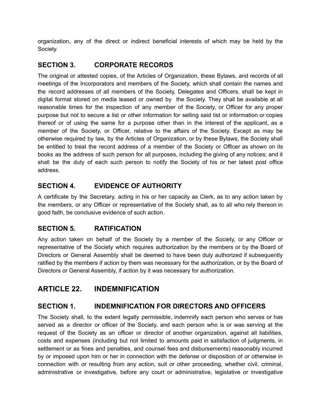organization, any of the direct or indirect beneficial interests of which may be held by the Society.

## <span id="page-21-0"></span>**SECTION 3. CORPORATE RECORDS**

The original or attested copies, of the Articles of Organization, these Bylaws, and records of all meetings of the Incorporators and members of the Society, which shall contain the names and the record addresses of all members of the Society, Delegates and Officers, shall be kept in digital format stored on media leased or owned by the Society. They shall be available at all reasonable times for the inspection of any member of the Society, or Officer for any proper purpose but not to secure a list or other information for selling said list or information or copies thereof or of using the same for a purpose other than in the interest of the applicant, as a member of the Society, or Officer, relative to the affairs of the Society. Except as may be otherwise required by law, by the Articles of Organization, or by these Bylaws, the Society shall be entitled to treat the record address of a member of the Society or Officer as shown on its books as the address of such person for all purposes, including the giving of any notices; and it shall be the duty of each such person to notify the Society of his or her latest post office address.

## <span id="page-21-1"></span>**SECTION 4. EVIDENCE OF AUTHORITY**

A certificate by the Secretary, acting in his or her capacity as Clerk, as to any action taken by the members, or any Officer or representative of the Society shall, as to all who rely thereon in good faith, be conclusive evidence of such action.

## <span id="page-21-2"></span>**SECTION 5. RATIFICATION**

Any action taken on behalf of the Society by a member of the Society, or any Officer or representative of the Society which requires authorization by the members or by the Board of Directors or General Assembly shall be deemed to have been duly authorized if subsequently ratified by the members if action by them was necessary for the authorization, or by the Board of Directors or General Assembly, if action by it was necessary for authorization.

# <span id="page-21-3"></span>**ARTICLE 22. INDEMNIFICATION**

# <span id="page-21-4"></span>**SECTION 1. INDEMNIFICATION FOR DIRECTORS AND OFFICERS**

The Society shall, to the extent legally permissible, indemnify each person who serves or has served as a director or officer of the Society, and each person who is or was serving at the request of the Society as an officer or director of another organization, against all liabilities, costs and expenses (including but not limited to amounts paid in satisfaction of judgments, in settlement or as fines and penalties, and counsel fees and disbursements) reasonably incurred by or imposed upon him or her in connection with the defense or disposition of or otherwise in connection with or resulting from any action, suit or other proceeding, whether civil, criminal, administrative or investigative, before any court or administrative, legislative or investigative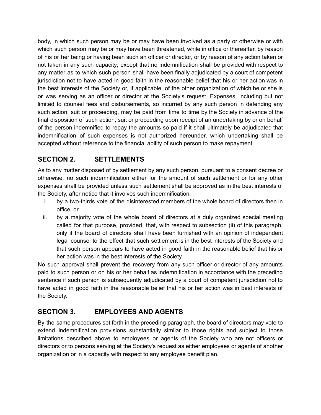body, in which such person may be or may have been involved as a party or otherwise or with which such person may be or may have been threatened, while in office or thereafter, by reason of his or her being or having been such an officer or director, or by reason of any action taken or not taken in any such capacity; except that no indemnification shall be provided with respect to any matter as to which such person shall have been finally adjudicated by a court of competent jurisdiction not to have acted in good faith in the reasonable belief that his or her action was in the best interests of the Society or, if applicable, of the other organization of which he or she is or was serving as an officer or director at the Society's request. Expenses, including but not limited to counsel fees and disbursements, so incurred by any such person in defending any such action, suit or proceeding, may be paid from time to time by the Society in advance of the final disposition of such action, suit or proceeding upon receipt of an undertaking by or on behalf of the person indemnified to repay the amounts so paid if it shall ultimately be adjudicated that indemnification of such expenses is not authorized hereunder, which undertaking shall be accepted without reference to the financial ability of such person to make repayment.

# <span id="page-22-0"></span>**SECTION 2. SETTLEMENTS**

As to any matter disposed of by settlement by any such person, pursuant to a consent decree or otherwise, no such indemnification either for the amount of such settlement or for any other expenses shall be provided unless such settlement shall be approved as in the best interests of the Society, after notice that it involves such indemnification,

- i. by a two-thirds vote of the disinterested members of the whole board of directors then in office, or
- ii. by a majority vote of the whole board of directors at a duly organized special meeting called for that purpose, provided, that, with respect to subsection (ii) of this paragraph, only if the board of directors shall have been furnished with an opinion of independent legal counsel to the effect that such settlement is in the best interests of the Society and that such person appears to have acted in good faith in the reasonable belief that his or her action was in the best interests of the Society.

No such approval shall prevent the recovery from any such officer or director of any amounts paid to such person or on his or her behalf as indemnification in accordance with the preceding sentence if such person is subsequently adjudicated by a court of competent jurisdiction not to have acted in good faith in the reasonable belief that his or her action was in best interests of the Society.

# <span id="page-22-1"></span>**SECTION 3. EMPLOYEES AND AGENTS**

By the same procedures set forth in the preceding paragraph, the board of directors may vote to extend indemnification provisions substantially similar to those rights and subject to those limitations described above to employees or agents of the Society who are not officers or directors or to persons serving at the Society's request as either employees or agents of another organization or in a capacity with respect to any employee benefit plan.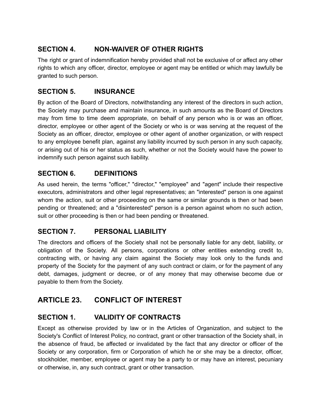## <span id="page-23-0"></span>**SECTION 4. NON-WAIVER OF OTHER RIGHTS**

The right or grant of indemnification hereby provided shall not be exclusive of or affect any other rights to which any officer, director, employee or agent may be entitled or which may lawfully be granted to such person.

## <span id="page-23-1"></span>**SECTION 5. INSURANCE**

By action of the Board of Directors, notwithstanding any interest of the directors in such action, the Society may purchase and maintain insurance, in such amounts as the Board of Directors may from time to time deem appropriate, on behalf of any person who is or was an officer, director, employee or other agent of the Society or who is or was serving at the request of the Society as an officer, director, employee or other agent of another organization, or with respect to any employee benefit plan, against any liability incurred by such person in any such capacity, or arising out of his or her status as such, whether or not the Society would have the power to indemnify such person against such liability.

#### <span id="page-23-2"></span>**SECTION 6. DEFINITIONS**

As used herein, the terms "officer," "director," "employee" and "agent" include their respective executors, administrators and other legal representatives; an "interested" person is one against whom the action, suit or other proceeding on the same or similar grounds is then or had been pending or threatened; and a "disinterested" person is a person against whom no such action, suit or other proceeding is then or had been pending or threatened.

## <span id="page-23-3"></span>**SECTION 7. PERSONAL LIABILITY**

The directors and officers of the Society shall not be personally liable for any debt, liability, or obligation of the Society. All persons, corporations or other entities extending credit to, contracting with, or having any claim against the Society may look only to the funds and property of the Society for the payment of any such contract or claim, or for the payment of any debt, damages, judgment or decree, or of any money that may otherwise become due or payable to them from the Society.

# <span id="page-23-4"></span>**ARTICLE 23. CONFLICT OF INTEREST**

## <span id="page-23-5"></span>**SECTION 1. VALIDITY OF CONTRACTS**

Except as otherwise provided by law or in the Articles of Organization, and subject to the Society's Conflict of Interest Policy, no contract, grant or other transaction of the Society shall, in the absence of fraud, be affected or invalidated by the fact that any director or officer of the Society or any corporation, firm or Corporation of which he or she may be a director, officer, stockholder, member, employee or agent may be a party to or may have an interest, pecuniary or otherwise, in, any such contract, grant or other transaction.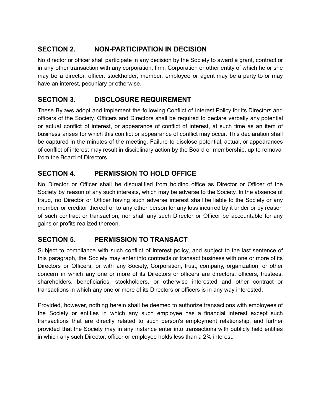## <span id="page-24-0"></span>**SECTION 2. NON-PARTICIPATION IN DECISION**

No director or officer shall participate in any decision by the Society to award a grant, contract or in any other transaction with any corporation, firm, Corporation or other entity of which he or she may be a director, officer, stockholder, member, employee or agent may be a party to or may have an interest, pecuniary or otherwise.

## <span id="page-24-1"></span>**SECTION 3. DISCLOSURE REQUIREMENT**

These Bylaws adopt and implement the following Conflict of Interest Policy for its Directors and officers of the Society. Officers and Directors shall be required to declare verbally any potential or actual conflict of interest, or appearance of conflict of interest, at such time as an item of business arises for which this conflict or appearance of conflict may occur. This declaration shall be captured in the minutes of the meeting. Failure to disclose potential, actual, or appearances of conflict of interest may result in disciplinary action by the Board or membership, up to removal from the Board of Directors.

# <span id="page-24-2"></span>**SECTION 4. PERMISSION TO HOLD OFFICE**

No Director or Officer shall be disqualified from holding office as Director or Officer of the Society by reason of any such interests, which may be adverse to the Society. In the absence of fraud, no Director or Officer having such adverse interest shall be liable to the Society or any member or creditor thereof or to any other person for any loss incurred by it under or by reason of such contract or transaction, nor shall any such Director or Officer be accountable for any gains or profits realized thereon.

## <span id="page-24-3"></span>**SECTION 5. PERMISSION TO TRANSACT**

Subject to compliance with such conflict of interest policy, and subject to the last sentence of this paragraph, the Society may enter into contracts or transact business with one or more of its Directors or Officers, or with any Society, Corporation, trust, company, organization, or other concern in which any one or more of its Directors or officers are directors, officers, trustees, shareholders, beneficiaries, stockholders, or otherwise interested and other contract or transactions in which any one or more of its Directors or officers is in any way interested.

Provided, however, nothing herein shall be deemed to authorize transactions with employees of the Society or entities in which any such employee has a financial interest except such transactions that are directly related to such person's employment relationship, and further provided that the Society may in any instance enter into transactions with publicly held entities in which any such Director, officer or employee holds less than a 2% interest.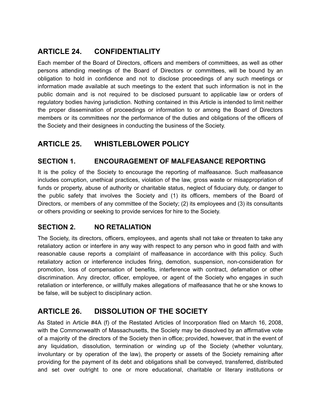# <span id="page-25-0"></span>**ARTICLE 24. CONFIDENTIALITY**

Each member of the Board of Directors, officers and members of committees, as well as other persons attending meetings of the Board of Directors or committees, will be bound by an obligation to hold in confidence and not to disclose proceedings of any such meetings or information made available at such meetings to the extent that such information is not in the public domain and is not required to be disclosed pursuant to applicable law or orders of regulatory bodies having jurisdiction. Nothing contained in this Article is intended to limit neither the proper dissemination of proceedings or information to or among the Board of Directors members or its committees nor the performance of the duties and obligations of the officers of the Society and their designees in conducting the business of the Society.

# <span id="page-25-1"></span>**ARTICLE 25. WHISTLEBLOWER POLICY**

## <span id="page-25-2"></span>**SECTION 1. ENCOURAGEMENT OF MALFEASANCE REPORTING**

It is the policy of the Society to encourage the reporting of malfeasance. Such malfeasance includes corruption, unethical practices, violation of the law, gross waste or misappropriation of funds or property, abuse of authority or charitable status, neglect of fiduciary duty, or danger to the public safety that involves the Society and (1) its officers, members of the Board of Directors, or members of any committee of the Society; (2) its employees and (3) its consultants or others providing or seeking to provide services for hire to the Society.

## <span id="page-25-3"></span>**SECTION 2. NO RETALIATION**

The Society, its directors, officers, employees, and agents shall not take or threaten to take any retaliatory action or interfere in any way with respect to any person who in good faith and with reasonable cause reports a complaint of malfeasance in accordance with this policy. Such retaliatory action or interference includes firing, demotion, suspension, non-consideration for promotion, loss of compensation of benefits, interference with contract, defamation or other discrimination. Any director, officer, employee, or agent of the Society who engages in such retaliation or interference, or willfully makes allegations of malfeasance that he or she knows to be false, will be subject to disciplinary action.

# <span id="page-25-4"></span>**ARTICLE 26. DISSOLUTION OF THE SOCIETY**

As Stated in Article #4A (f) of the Restated Articles of Incorporation filed on March 16, 2008, with the Commonwealth of Massachusetts, the Society may be dissolved by an affirmative vote of a majority of the directors of the Society then in office; provided, however, that in the event of any liquidation, dissolution, termination or winding up of the Society (whether voluntary, involuntary or by operation of the law), the property or assets of the Society remaining after providing for the payment of its debt and obligations shall be conveyed, transferred, distributed and set over outright to one or more educational, charitable or literary institutions or